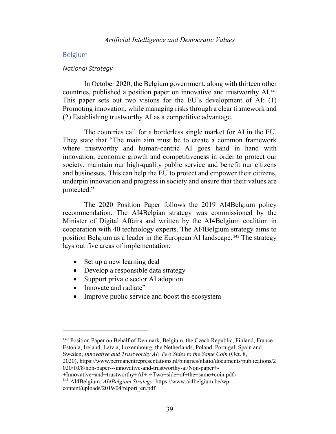# Belgium

#### *National Strategy*

In October 2020, the Belgium government, along with thirteen other countries, published a position paper on innovative and trustworthy AI.<sup>140</sup> This paper sets out two visions for the EU's development of AI: (1) Promoting innovation, while managing risks through a clear framework and (2) Establishing trustworthy AI as a competitive advantage.

The countries call for a borderless single market for AI in the EU. They state that "The main aim must be to create a common framework where trustworthy and human-centric AI goes hand in hand with innovation, economic growth and competitiveness in order to protect our society, maintain our high-quality public service and benefit our citizens and businesses. This can help the EU to protect and empower their citizens, underpin innovation and progress in society and ensure that their values are protected."

The 2020 Position Paper follows the 2019 AI4Belgium policy recommendation. The AI4Belgian strategy was commissioned by the Minister of Digital Affairs and written by the AI4Belgium coalition in cooperation with 40 technology experts. The AI4Belgium strategy aims to position Belgium as a leader in the European AI landscape. <sup>141</sup> The strategy lays out five areas of implementation:

- Set up a new learning deal
- Develop a responsible data strategy
- Support private sector AI adoption
- Innovate and radiate"
- Improve public service and boost the ecosystem

<sup>&</sup>lt;sup>140</sup> Position Paper on Behalf of Denmark, Belgium, the Czech Republic, Finland, France Estonia, Ireland, Latvia, Luxembourg, the Netherlands, Poland, Portugal, Spain and Sweden, *Innovative and Trustworthy AI: Two Sides to the Same Coin* (Oct. 8, 2020), https://www.permanentrepresentations.nl/binaries/nlatio/documents/publications/2

<sup>020/10/8/</sup>non-paper---innovative-and-trustworthy-ai/Non-paper+-

<sup>+</sup>Innovative+and+trustworthy+AI+-+Two+side+of+the+same+coin.pdf)

<sup>141</sup> AI4Belgium, *AI4Belgium Strategy,* https://www.ai4belgium.be/wpcontent/uploads/2019/04/report\_en.pdf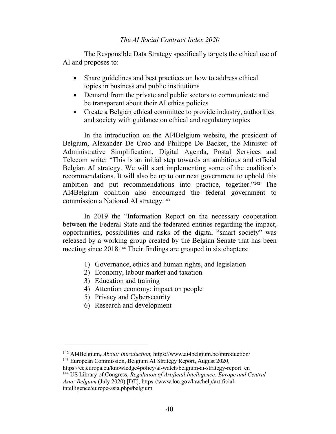The Responsible Data Strategy specifically targets the ethical use of AI and proposes to:

- Share guidelines and best practices on how to address ethical topics in business and public institutions
- Demand from the private and public sectors to communicate and be transparent about their AI ethics policies
- Create a Belgian ethical committee to provide industry, authorities and society with guidance on ethical and regulatory topics

In the introduction on the AI4Belgium website, the president of Belgium, Alexander De Croo and Philippe De Backer, the Minister of Administrative Simplification, Digital Agenda, Postal Services and Telecom write: "This is an initial step towards an ambitious and official Belgian AI strategy. We will start implementing some of the coalition's recommendations. It will also be up to our next government to uphold this ambition and put recommendations into practice, together."<sup>142</sup> The AI4Belgium coalition also encouraged the federal government to commission a National AI strategy. 143

In 2019 the "Information Report on the necessary cooperation between the Federal State and the federated entities regarding the impact, opportunities, possibilities and risks of the digital "smart society" was released by a working group created by the Belgian Senate that has been meeting since 2018.<sup>144</sup> Their findings are grouped in six chapters:

- 1) Governance, ethics and human rights, and legislation
- 2) Economy, labour market and taxation
- 3) Education and training
- 4) Attention economy: impact on people
- 5) Privacy and Cybersecurity
- 6) Research and development

<sup>142</sup> AI4Belgium, *About: Introduction,* https://www.ai4belgium.be/introduction/

<sup>143</sup> European Commission, Belgium AI Strategy Report, August 2020,

https://ec.europa.eu/knowledge4policy/ai-watch/belgium-ai-strategy-report\_en <sup>144</sup> US Library of Congress, *Regulation of Artificial Intelligence: Europe and Central* 

*Asia: Belgium* (July 2020) [DT], https://www.loc.gov/law/help/artificialintelligence/europe-asia.php#belgium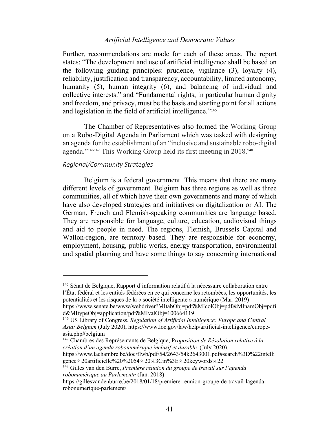Further, recommendations are made for each of these areas. The report states: "The development and use of artificial intelligence shall be based on the following guiding principles: prudence, vigilance (3), loyalty (4), reliability, justification and transparency, accountability, limited autonomy, humanity (5), human integrity (6), and balancing of individual and collective interests." and "Fundamental rights, in particular human dignity and freedom, and privacy, must be the basis and starting point for all actions and legislation in the field of artificial intelligence."<sup>145</sup>

The Chamber of Representatives also formed the Working Group on a Robo-Digital Agenda in Parliament which was tasked with designing an agenda for the establishment of an "inclusive and sustainable robo-digital agenda."<sup>146147</sup> This Working Group held its first meeting in 2018. 148

#### *Regional/Community Strategies*

Belgium is a federal government. This means that there are many different levels of government. Belgium has three regions as well as three communities, all of which have their own governments and many of which have also developed strategies and initiatives on digitalization or AI. The German, French and Flemish-speaking communities are language based. They are responsible for language, culture, education, audiovisual things and aid to people in need. The regions, Flemish, Brussels Capital and Wallon-region, are territory based. They are responsible for economy, employment, housing, public works, energy transportation, environmental and spatial planning and have some things to say concerning international

<sup>147</sup> Chambres des Représentants de Belgique, P*roposition de Résolution relative à la création d'un agenda robonumérique inclusif et durable* (July 2020),

https://www.lachambre.be/doc/flwb/pdf/54/2643/54k2643001.pdf#search%3D%22intelli gence%20artificielle%20%2054%20%3Cin%3E%20keywords%22

<sup>148</sup> Gilles van den Burre, *Première réunion du groupe de travail sur l'agenda robonumérique au Parlementn* (Jan. 2018)

<sup>145</sup> Sénat de Belgique, Rapport d'information relatif à la nécessaire collaboration entre l'État fédéral et les entités fédérées en ce qui concerne les retombées, les opportunités, les potentialités et les risques de la « société intelligente » numérique (Mar. 2019)

https://www.senate.be/www/webdriver?MItabObj=pdf&MIcolObj=pdf&MInamObj=pdfi d&MItypeObj=application/pdf&MIvalObj=100664119

<sup>146</sup> US Library of Congress, *Regulation of Artificial Intelligence: Europe and Central Asia: Belgium* (July 2020), https://www.loc.gov/law/help/artificial-intelligence/europeasia.php#belgium

https://gillesvandenburre.be/2018/01/18/premiere-reunion-groupe-de-travail-lagendarobonumerique-parlement/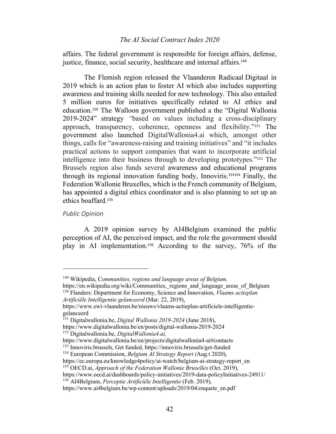affairs. The federal government is responsible for foreign affairs, defense, justice, finance, social security, healthcare and internal affairs.<sup>149</sup>

The Flemish region released the Vlaanderen Radicaal Digitaal in 2019 which is an action plan to foster AI which also includes supporting awareness and training skills needed for new technology*.* This also entailed 5 million euros for initiatives specifically related to AI ethics and education.<sup>150</sup> The Walloon government published a the "Digital Wallonia 2019-2024" strategy *"*based on values including a cross-disciplinary approach, transparency, coherence, openness and flexibility."<sup>151</sup> The government also launched DigitalWallonia4.ai which, amongst other things, calls for "awareness-raising and training initiatives" and "it includes practical actions to support companies that want to incorporate artificial intelligence into their business through to developing prototypes."<sup>152</sup> The Brussels region also funds several awareness and educational programs through its regional innovation funding body, Innoviris.<sup>153154</sup> Finally, the Federation Wallonie Bruxelles, which is the French community of Belgium, has appointed a digital ethics coordinator and is also planning to set up an ethics boaffard.<sup>155</sup>

#### *Public Opinion*

A 2019 opinion survey by AI4Belgium examined the public perception of AI, the perceived impact, and the role the government should play in AI implementation.<sup>156</sup> According to the survey, 76% of the

<sup>149</sup> Wikipedia, C*ommunities, regions and language areas of Belgium,* 

https://en.wikipedia.org/wiki/Communities, regions and language areas of Belgium <sup>150</sup> Flanders: Department for Economy, Science and Innovation, *Vlaams actieplan* 

*Artificiële Intelligentie gelanceerd* (Mar. 22, 2019),

https://www.ewi-vlaanderen.be/nieuws/vlaams-actieplan-artificiele-intelligentiegelanceerd

<sup>151</sup> Digitalwallonia.be, *Digital Wallonia 2019-2024* (June 2018),

https://www.digitalwallonia.be/en/posts/digital-wallonia-2019-2024 <sup>152</sup> Digitalwallonia.be, *DigitalWallonia4.ai,*

https://www.digitalwallonia.be/en/projects/digitalwallonia4-ai#contacts

<sup>153</sup> Innoviris.brussels, Get funded, https://innoviris.brussels/get-funded

<sup>154</sup> European Commission, *Belgium AI Strategy Report (*Aug.t 2020),

https://ec.europa.eu/knowledge4policy/ai-watch/belgium-ai-strategy-report\_en

<sup>155</sup> OECD.ai, *Approach of the Federation Wallonie Bruxelles* (Oct. 2019),

https://www.oecd.ai/dashboards/policy-initiatives/2019-data-policyInitiatives-24911/ <sup>156</sup> AI4Belgium, *Perceptie Artificiële Intelligentie* (Feb. 2019),

https://www.ai4belgium.be/wp-content/uploads/2019/04/enquete\_en.pdf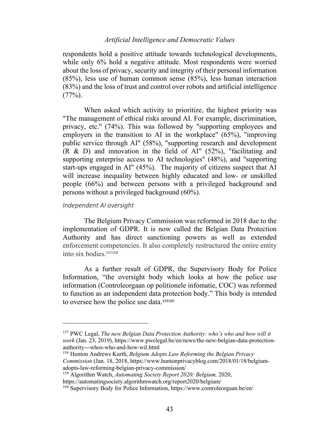respondents hold a positive attitude towards technological developments, while only 6% hold a negative attitude. Most respondents were worried about the loss of privacy, security and integrity of their personal information (85%), less use of human common sense (85%), less human interaction (83%) and the loss of trust and control over robots and artificial intelligence  $(77\%).$ 

When asked which activity to prioritize, the highest priority was "The management of ethical risks around AI. For example, discrimination, privacy, etc." (74%). This was followed by "supporting employees and employers in the transition to AI in the workplace" (65%), "improving public service through AI" (58%), "supporting research and development (R & D) and innovation in the field of AI" (52%), "facilitating and supporting enterprise access to AI technologies" (48%), and "supporting start-ups engaged in AI" (45%). The majority of citizens suspect that AI will increase inequality between highly educated and low- or unskilled people (66%) and between persons with a privileged background and persons without a privileged background (60%).

## *Independent AI oversight*

The Belgium Privacy Commission was reformed in 2018 due to the implementation of GDPR. It is now called the Belgian Data Protection Authority and has direct sanctioning powers as well as extended enforcement competencies. It also completely restructured the entire entity into six bodies.<sup>157158</sup>

As a further result of GDPR, the Supervisory Body for Police Information, "the oversight body which looks at how the police use information (Controleorgaan op politionele infomatie, COC) was reformed to function as an independent data protection body." This body is intended to oversee how the police use data.<sup>159160</sup>

<sup>157</sup> PWC Legal, *The new Belgian Data Protection Authority: who's who and how will it work* (Jan. 23, 2019), https://www.pwclegal.be/en/news/the-new-belgian-data-protectionauthority---whos-who-and-how-wil.html

<sup>158</sup> Hunton Andrews Kurth, *Belgium Adopts Law Reforming the Belgian Privacy Commission* (Jan. 18, 2018, https://www.huntonprivacyblog.com/2018/01/18/belgiumadopts-law-reforming-belgian-privacy-commission/

<sup>159</sup> Algorithm Watch, *Automating Society Report 2020: Belgium,* 2020,

https://automatingsociety.algorithmwatch.org/report2020/belgium/

<sup>160</sup> Supervisory Body for Police Information, https://www.controleorgaan.be/en/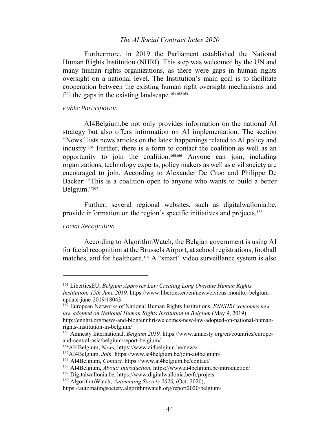Furthermore, in 2019 the Parliament established the National Human Rights Institution (NHRI). This step was welcomed by the UN and many human rights organizations, as there were gaps in human rights oversight on a national level. The Institution's main goal is to facilitate cooperation between the existing human right oversight mechanisms and fill the gaps in the existing landscape.<sup>161162163</sup>

### *Public Participation*

AI4Belgium.be not only provides information on the national AI strategy but also offers information on AI implementation. The section "News" lists news articles on the latest happenings related to AI policy and industry.<sup>164</sup> Further, there is a form to contact the coalition as well as an opportunity to join the coalition.<sup>165166</sup> Anyone can join, including organizations, technology experts, policy makers as well as civil society are encouraged to join. According to Alexander De Croo and Philippe De Backer: "This is a coalition open to anyone who wants to build a better Belgium."167

Further, several regional websites, such as digitalwallonia.be, provide information on the region's specific initiatives and projects.<sup>168</sup>

### *Facial Recognition*

According to AlgorithmWatch, the Belgian government is using AI for facial recognition at the Brussels Airport, at school registrations, football matches, and for healthcare.<sup>169</sup> A "smart" video surveillance system is also

<sup>161</sup> LibertiesEU, *Belgium Approves Law Creating Long Overdue Human Rights Institution, 15th June 2019,* https://www.liberties.eu/en/news/civicus-monitor-belgium-

update-june-2019/18043

<sup>162</sup> European Networks of National Human Rights Institutions, *ENNHRI welcomes new law adopted on National Human Rights Institution in Belgium* (May 9, 2019),

http://ennhri.org/news-and-blog/ennhri-welcomes-new-law-adopted-on-national-humanrights-institution-in-belgium/

<sup>163</sup> Amnesty International, *Belgium 2019,* https://www.amnesty.org/en/countries/europeand-central-asia/belgium/report-belgium/

<sup>164</sup>AI4Belgium, *News,* https://www.ai4belgium.be/news/

<sup>165</sup>AI4Belgium, *Join,* https://www.ai4belgium.be/join-ai4belgium/

<sup>166</sup> AI4Belgium, *Contact,* https://www.ai4belgium.be/contact/

<sup>167</sup> AI4Belgium, *About: Introduction,* https://www.ai4belgium.be/introduction/

<sup>168</sup> Digitalwallonia.be, https://www.digitalwallonia.be/fr/projets

<sup>169</sup> AlgorithmWatch, *Automating Society 2020,* (Oct. 2020),

https://automatingsociety.algorithmwatch.org/report2020/belgium/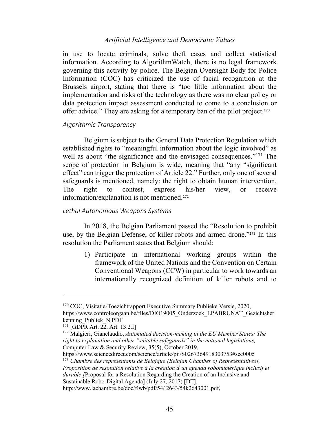in use to locate criminals, solve theft cases and collect statistical information. According to AlgorithmWatch, there is no legal framework governing this activity by police. The Belgian Oversight Body for Police Information (COC) has criticized the use of facial recognition at the Brussels airport, stating that there is "too little information about the implementation and risks of the technology as there was no clear policy or data protection impact assessment conducted to come to a conclusion or offer advice." They are asking for a temporary ban of the pilot project. 170

## *Algorithmic Transparency*

Belgium is subject to the General Data Protection Regulation which established rights to "meaningful information about the logic involved" as well as about "the significance and the envisaged consequences."<sup>171</sup> The scope of protection in Belgium is wide, meaning that "any "significant effect" can trigger the protection of Article 22." Further, only one of several safeguards is mentioned, namely: the right to obtain human intervention. The right to contest, express his/her view, or receive information/explanation is not mentioned.<sup>172</sup>

## *Lethal Autonomous Weapons Systems*

In 2018, the Belgian Parliament passed the "Resolution to prohibit use, by the Belgian Defense, of killer robots and armed drone."<sup>173</sup> In this resolution the Parliament states that Belgium should:

1) Participate in international working groups within the framework of the United Nations and the Convention on Certain Conventional Weapons (CCW) in particular to work towards an internationally recognized definition of killer robots and to

https://www.sciencedirect.com/science/article/pii/S0267364918303753#sec0005 <sup>173</sup> *Chambre des représentants de Belgique [Belgian Chamber of Representatives], Proposition de resolution relative à la création d'un agenda robonumérique inclusif et durable [*Proposal for a Resolution Regarding the Creation of an Inclusive and Sustainable Robo-Digital Agenda] (July 27, 2017) [DT], http://www.lachambre.be/doc/flwb/pdf/54/ 2643/54k2643001.pdf,

<sup>&</sup>lt;sup>170</sup> COC, Visitatie-Toezichtrapport Executive Summary Publieke Versie, 2020, https://www.controleorgaan.be/files/DIO19005\_Onderzoek\_LPABRUNAT\_Gezichtsher kenning\_Publiek\_N.PDF

 $171$  [GDPR Art. 22, Art. 13.2.f]

<sup>172</sup> Malgieri, Gianclaudio, *Automated decision-making in the EU Member States: The right to explanation and other "suitable safeguards" in the national legislations,* Computer Law & Security Review, 35(5), October 2019,